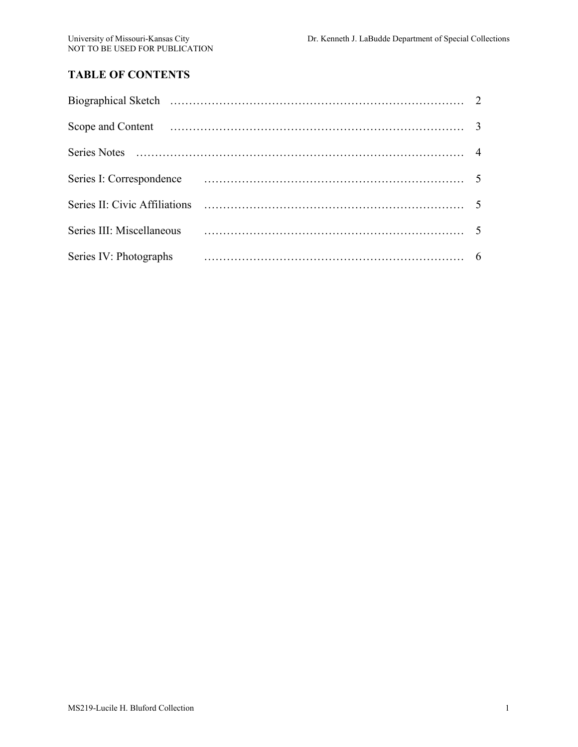# **TABLE OF CONTENTS**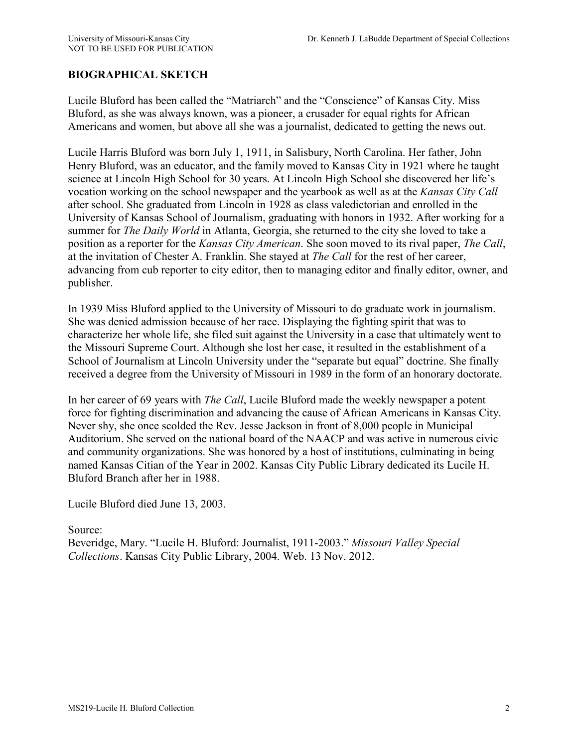# **BIOGRAPHICAL SKETCH**

Lucile Bluford has been called the "Matriarch" and the "Conscience" of Kansas City. Miss Bluford, as she was always known, was a pioneer, a crusader for equal rights for African Americans and women, but above all she was a journalist, dedicated to getting the news out.

Lucile Harris Bluford was born July 1, 1911, in Salisbury, North Carolina. Her father, John Henry Bluford, was an educator, and the family moved to Kansas City in 1921 where he taught science at Lincoln High School for 30 years. At Lincoln High School she discovered her life's vocation working on the school newspaper and the yearbook as well as at the *Kansas City Call* after school. She graduated from Lincoln in 1928 as class valedictorian and enrolled in the University of Kansas School of Journalism, graduating with honors in 1932. After working for a summer for *The Daily World* in Atlanta, Georgia, she returned to the city she loved to take a position as a reporter for the *Kansas City American*. She soon moved to its rival paper, *The Call*, at the invitation of Chester A. Franklin. She stayed at *The Call* for the rest of her career, advancing from cub reporter to city editor, then to managing editor and finally editor, owner, and publisher.

In 1939 Miss Bluford applied to the University of Missouri to do graduate work in journalism. She was denied admission because of her race. Displaying the fighting spirit that was to characterize her whole life, she filed suit against the University in a case that ultimately went to the Missouri Supreme Court. Although she lost her case, it resulted in the establishment of a School of Journalism at Lincoln University under the "separate but equal" doctrine. She finally received a degree from the University of Missouri in 1989 in the form of an honorary doctorate.

In her career of 69 years with *The Call*, Lucile Bluford made the weekly newspaper a potent force for fighting discrimination and advancing the cause of African Americans in Kansas City. Never shy, she once scolded the Rev. Jesse Jackson in front of 8,000 people in Municipal Auditorium. She served on the national board of the NAACP and was active in numerous civic and community organizations. She was honored by a host of institutions, culminating in being named Kansas Citian of the Year in 2002. Kansas City Public Library dedicated its Lucile H. Bluford Branch after her in 1988.

Lucile Bluford died June 13, 2003.

Source:

Beveridge, Mary. "Lucile H. Bluford: Journalist, 1911-2003." *Missouri Valley Special Collections*. Kansas City Public Library, 2004. Web. 13 Nov. 2012.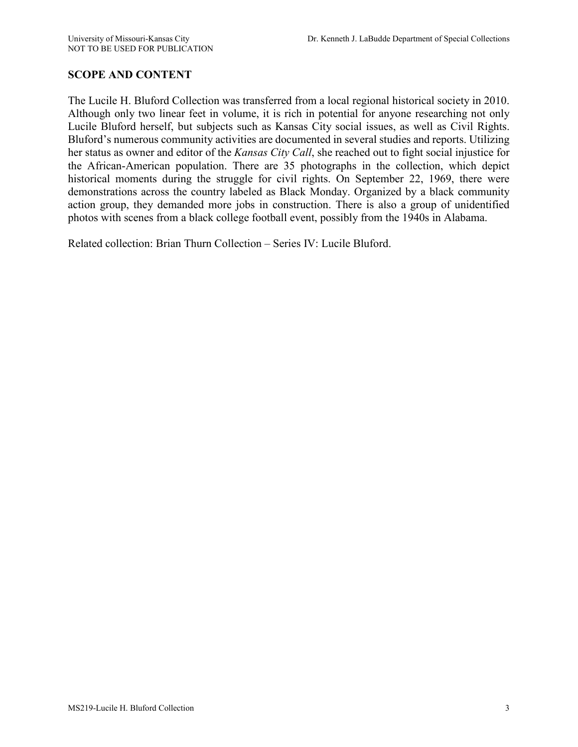# **SCOPE AND CONTENT**

The Lucile H. Bluford Collection was transferred from a local regional historical society in 2010. Although only two linear feet in volume, it is rich in potential for anyone researching not only Lucile Bluford herself, but subjects such as Kansas City social issues, as well as Civil Rights. Bluford's numerous community activities are documented in several studies and reports. Utilizing her status as owner and editor of the *Kansas City Call*, she reached out to fight social injustice for the African-American population. There are 35 photographs in the collection, which depict historical moments during the struggle for civil rights. On September 22, 1969, there were demonstrations across the country labeled as Black Monday. Organized by a black community action group, they demanded more jobs in construction. There is also a group of unidentified photos with scenes from a black college football event, possibly from the 1940s in Alabama.

Related collection: Brian Thurn Collection – Series IV: Lucile Bluford.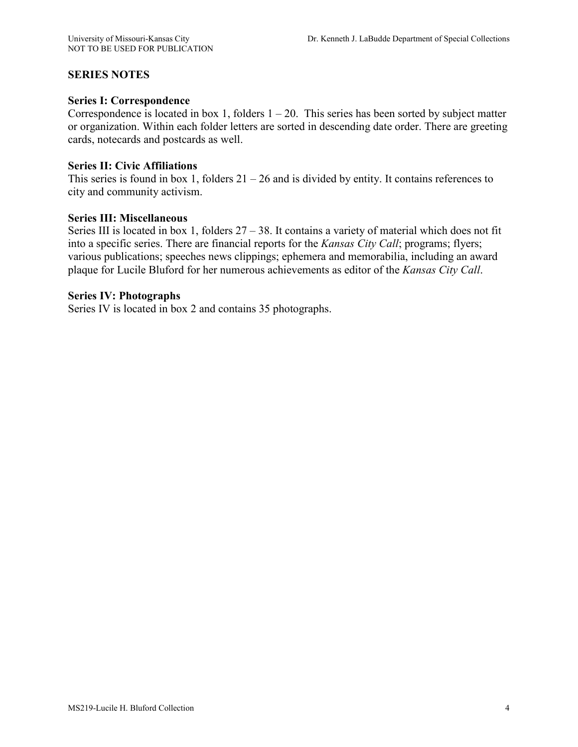### **SERIES NOTES**

#### **Series I: Correspondence**

Correspondence is located in box 1, folders  $1 - 20$ . This series has been sorted by subject matter or organization. Within each folder letters are sorted in descending date order. There are greeting cards, notecards and postcards as well.

#### **Series II: Civic Affiliations**

This series is found in box 1, folders  $21 - 26$  and is divided by entity. It contains references to city and community activism.

#### **Series III: Miscellaneous**

Series III is located in box 1, folders 27 – 38. It contains a variety of material which does not fit into a specific series. There are financial reports for the *Kansas City Call*; programs; flyers; various publications; speeches news clippings; ephemera and memorabilia, including an award plaque for Lucile Bluford for her numerous achievements as editor of the *Kansas City Call*.

#### **Series IV: Photographs**

Series IV is located in box 2 and contains 35 photographs.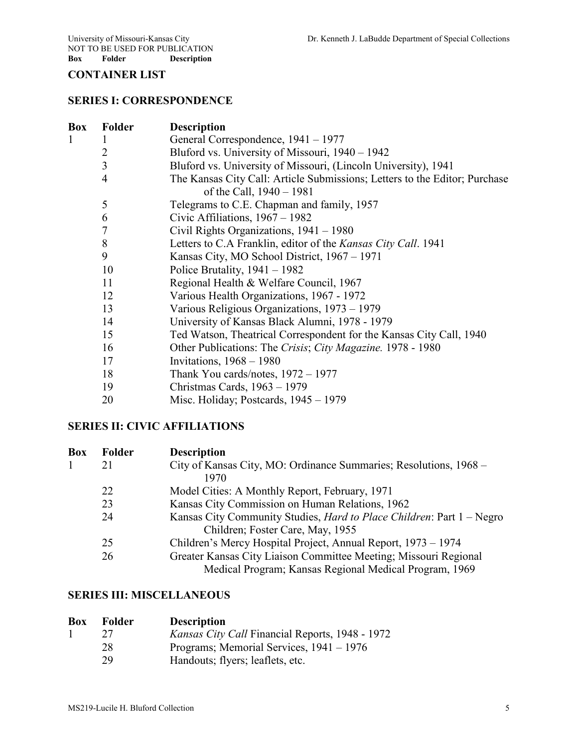NOT TO BE USED FOR PUBLICATION<br>Box Folder Description **Description** 

# **CONTAINER LIST**

### **SERIES I: CORRESPONDENCE**

| Box | <b>Folder</b> | <b>Description</b>                                                         |
|-----|---------------|----------------------------------------------------------------------------|
| 1   |               | General Correspondence, 1941 – 1977                                        |
|     | 2             | Bluford vs. University of Missouri, 1940 – 1942                            |
|     | 3             | Bluford vs. University of Missouri, (Lincoln University), 1941             |
|     | 4             | The Kansas City Call: Article Submissions; Letters to the Editor; Purchase |
|     |               | of the Call, 1940 - 1981                                                   |
|     | 5             | Telegrams to C.E. Chapman and family, 1957                                 |
|     | 6             | Civic Affiliations, $1967 - 1982$                                          |
|     | 7             | Civil Rights Organizations, $1941 - 1980$                                  |
|     | 8             | Letters to C.A Franklin, editor of the Kansas City Call. 1941              |
|     | 9             | Kansas City, MO School District, 1967 – 1971                               |
|     | 10            | Police Brutality, $1941 - 1982$                                            |
|     | 11            | Regional Health & Welfare Council, 1967                                    |
|     | 12            | Various Health Organizations, 1967 - 1972                                  |
|     | 13            | Various Religious Organizations, 1973 – 1979                               |
|     | 14            | University of Kansas Black Alumni, 1978 - 1979                             |
|     | 15            | Ted Watson, Theatrical Correspondent for the Kansas City Call, 1940        |
|     | 16            | Other Publications: The Crisis; City Magazine. 1978 - 1980                 |
|     | 17            | Invitations, $1968 - 1980$                                                 |
|     | 18            | Thank You cards/notes, $1972 - 1977$                                       |
|     | 19            | Christmas Cards, $1963 - 1979$                                             |
|     | 20            | Misc. Holiday; Postcards, $1945 - 1979$                                    |

# **SERIES II: CIVIC AFFILIATIONS**

| <b>Box</b> | <b>Folder</b> | <b>Description</b>                                                            |
|------------|---------------|-------------------------------------------------------------------------------|
|            | 21            | City of Kansas City, MO: Ordinance Summaries; Resolutions, 1968 –             |
|            |               | 1970                                                                          |
|            | 22            | Model Cities: A Monthly Report, February, 1971                                |
|            | 23            | Kansas City Commission on Human Relations, 1962                               |
|            | 24            | Kansas City Community Studies, <i>Hard to Place Children</i> : Part 1 - Negro |
|            |               | Children; Foster Care, May, 1955                                              |
|            | 25            | Children's Mercy Hospital Project, Annual Report, 1973 – 1974                 |
|            | 26            | Greater Kansas City Liaison Committee Meeting; Missouri Regional              |
|            |               | Medical Program; Kansas Regional Medical Program, 1969                        |

## **SERIES III: MISCELLANEOUS**

| <b>Box</b><br>Folder | <b>Description</b> |
|----------------------|--------------------|
|----------------------|--------------------|

|  | <i>Kansas City Call Financial Reports, 1948 - 1972</i> |  |
|--|--------------------------------------------------------|--|
|--|--------------------------------------------------------|--|

- 28 Programs; Memorial Services, 1941 1976<br>29 Handouts; flyers; leaflets, etc.
- Handouts; flyers; leaflets, etc.